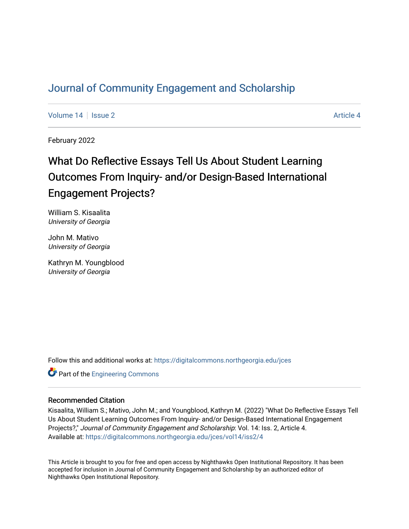# [Journal of Community Engagement and Scholarship](https://digitalcommons.northgeorgia.edu/jces)

[Volume 14](https://digitalcommons.northgeorgia.edu/jces/vol14) Suitsue 2 [Article 4](https://digitalcommons.northgeorgia.edu/jces/vol14/iss2/4) Article 4

February 2022

# What Do Reflective Essays Tell Us About Student Learning Outcomes From Inquiry- and/or Design-Based International Engagement Projects?

William S. Kisaalita University of Georgia

John M. Mativo University of Georgia

Kathryn M. Youngblood University of Georgia

Follow this and additional works at: [https://digitalcommons.northgeorgia.edu/jces](https://digitalcommons.northgeorgia.edu/jces?utm_source=digitalcommons.northgeorgia.edu%2Fjces%2Fvol14%2Fiss2%2F4&utm_medium=PDF&utm_campaign=PDFCoverPages)

**Part of the [Engineering Commons](http://network.bepress.com/hgg/discipline/217?utm_source=digitalcommons.northgeorgia.edu%2Fjces%2Fvol14%2Fiss2%2F4&utm_medium=PDF&utm_campaign=PDFCoverPages)** 

# Recommended Citation

Kisaalita, William S.; Mativo, John M.; and Youngblood, Kathryn M. (2022) "What Do Reflective Essays Tell Us About Student Learning Outcomes From Inquiry- and/or Design-Based International Engagement Projects?," Journal of Community Engagement and Scholarship: Vol. 14: Iss. 2, Article 4. Available at: [https://digitalcommons.northgeorgia.edu/jces/vol14/iss2/4](https://digitalcommons.northgeorgia.edu/jces/vol14/iss2/4?utm_source=digitalcommons.northgeorgia.edu%2Fjces%2Fvol14%2Fiss2%2F4&utm_medium=PDF&utm_campaign=PDFCoverPages) 

This Article is brought to you for free and open access by Nighthawks Open Institutional Repository. It has been accepted for inclusion in Journal of Community Engagement and Scholarship by an authorized editor of Nighthawks Open Institutional Repository.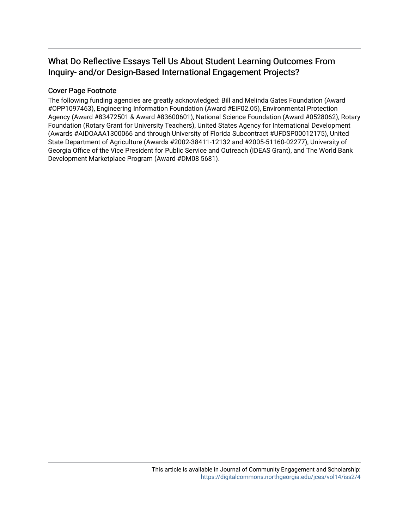# What Do Reflective Essays Tell Us About Student Learning Outcomes From Inquiry- and/or Design-Based International Engagement Projects?

# Cover Page Footnote

The following funding agencies are greatly acknowledged: Bill and Melinda Gates Foundation (Award #OPP1097463), Engineering Information Foundation (Award #EiF02.05), Environmental Protection Agency (Award #83472501 & Award #83600601), National Science Foundation (Award #0528062), Rotary Foundation (Rotary Grant for University Teachers), United States Agency for International Development (Awards #AIDOAAA1300066 and through University of Florida Subcontract #UFDSP00012175), United State Department of Agriculture (Awards #2002-38411-12132 and #2005-51160-02277), University of Georgia Office of the Vice President for Public Service and Outreach (IDEAS Grant), and The World Bank Development Marketplace Program (Award #DM08 5681).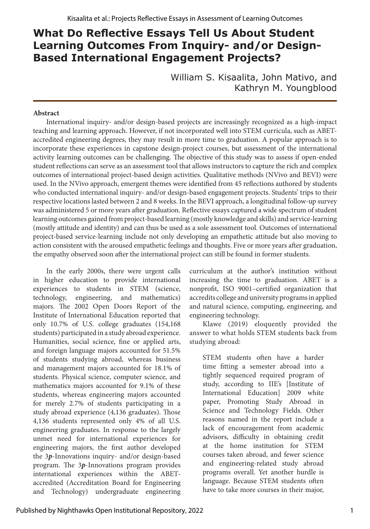# **What Do Reflective Essays Tell Us About Student Learning Outcomes From Inquiry- and/or Design-Based International Engagement Projects?**

William S. Kisaalita, John Mativo, and Kathryn M. Youngblood

#### **Abstract**

International inquiry- and/or design-based projects are increasingly recognized as a high-impact teaching and learning approach. However, if not incorporated well into STEM curricula, such as ABETaccredited engineering degrees, they may result in more time to graduation. A popular approach is to incorporate these experiences in capstone design-project courses, but assessment of the international activity learning outcomes can be challenging. The objective of this study was to assess if open-ended student reflections can serve as an assessment tool that allows instructors to capture the rich and complex outcomes of international project-based design activities. Qualitative methods (NVivo and BEVI) were used. In the NVivo approach, emergent themes were identified from 45 reflections authored by students who conducted international inquiry- and/or design-based engagement projects. Students' trips to their respective locations lasted between 2 and 8 weeks. In the BEVI approach, a longitudinal follow-up survey was administered 5 or more years after graduation. Reflective essays captured a wide spectrum of student learning outcomes gained from project-based learning (mostly knowledge and skills) and service-learning (mostly attitude and identity) and can thus be used as a sole assessment tool. Outcomes of international project-based service-learning include not only developing an empathetic attitude but also moving to action consistent with the aroused empathetic feelings and thoughts. Five or more years after graduation, the empathy observed soon after the international project can still be found in former students.

In the early 2000s, there were urgent calls in higher education to provide international experiences to students in STEM (science, technology, engineering, and mathematics) majors. The 2002 Open Doors Report of the Institute of International Education reported that only 10.7% of U.S. college graduates (154,168 students) participated in a study abroad experience. Humanities, social science, fine or applied arts, and foreign language majors accounted for 51.5% of students studying abroad, whereas business and management majors accounted for 18.1% of students. Physical science, computer science, and mathematics majors accounted for 9.1% of these students, whereas engineering majors accounted for merely 2.7% of students participating in a study abroad experience (4,136 graduates). Those 4,136 students represented only 4% of all U.S. engineering graduates. In response to the largely unmet need for international experiences for engineering majors, the first author developed the 3*p*-Innovations inquiry- and/or design-based program. The 3*p*-Innovations program provides international experiences within the ABETaccredited (Accreditation Board for Engineering and Technology) undergraduate engineering curriculum at the author's institution without increasing the time to graduation. ABET is a nonprofit, ISO 9001–certified organization that accredits college and university programs in applied and natural science, computing, engineering, and engineering technology.

Klawe (2019) eloquently provided the answer to what holds STEM students back from studying abroad:

STEM students often have a harder time fitting a semester abroad into a tightly sequenced required program of study, according to IIE's [Institute of International Education] 2009 white paper, Promoting Study Abroad in Science and Technology Fields. Other reasons named in the report include a lack of encouragement from academic advisors, difficulty in obtaining credit at the home institution for STEM courses taken abroad, and fewer science and engineering-related study abroad programs overall. Yet another hurdle is language. Because STEM students often have to take more courses in their major,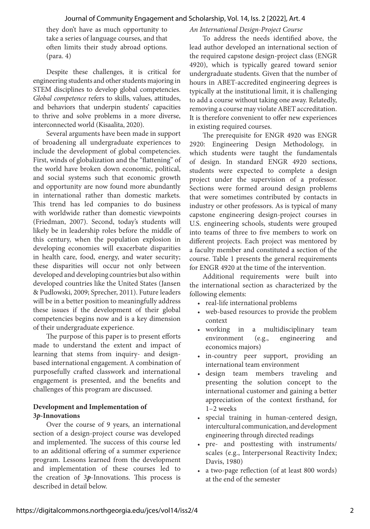they don't have as much opportunity to take a series of language courses, and that often limits their study abroad options. (para. 4)

Despite these challenges, it is critical for engineering students and other students majoring in STEM disciplines to develop global competencies. *Global competence* refers to skills, values, attitudes, and behaviors that underpin students' capacities to thrive and solve problems in a more diverse, interconnected world (Kisaalita, 2020).

Several arguments have been made in support of broadening all undergraduate experiences to include the development of global competencies. First, winds of globalization and the "flattening" of the world have broken down economic, political, and social systems such that economic growth and opportunity are now found more abundantly in international rather than domestic markets. This trend has led companies to do business with worldwide rather than domestic viewpoints (Friedman, 2007). Second, today's students will likely be in leadership roles before the middle of this century, when the population explosion in developing economies will exacerbate disparities in health care, food, energy, and water security; these disparities will occur not only between developed and developing countries but also within developed countries like the United States (Jansen & Pudlowski, 2009; Sprecher, 2011). Future leaders will be in a better position to meaningfully address these issues if the development of their global competencies begins now and is a key dimension of their undergraduate experience.

The purpose of this paper is to present efforts made to understand the extent and impact of learning that stems from inquiry- and designbased international engagement. A combination of purposefully crafted classwork and international engagement is presented, and the benefits and challenges of this program are discussed.

## **Development and Implementation of 3***p-***Innovations**

Over the course of 9 years, an international section of a design-project course was developed and implemented. The success of this course led to an additional offering of a summer experience program. Lessons learned from the development and implementation of these courses led to the creation of 3*p*-Innovations. This process is described in detail below.

#### *An International Design-Project Course*

To address the needs identified above, the lead author developed an international section of the required capstone design-project class (ENGR 4920), which is typically geared toward senior undergraduate students. Given that the number of hours in ABET-accredited engineering degrees is typically at the institutional limit, it is challenging to add a course without taking one away. Relatedly, removing a course may violate ABET accreditation. It is therefore convenient to offer new experiences in existing required courses.

The prerequisite for ENGR 4920 was ENGR 2920: Engineering Design Methodology, in which students were taught the fundamentals of design. In standard ENGR 4920 sections, students were expected to complete a design project under the supervision of a professor. Sections were formed around design problems that were sometimes contributed by contacts in industry or other professors. As is typical of many capstone engineering design-project courses in U.S. engineering schools, students were grouped into teams of three to five members to work on different projects. Each project was mentored by a faculty member and constituted a section of the course. Table 1 presents the general requirements for ENGR 4920 at the time of the intervention.

Additional requirements were built into the international section as characterized by the following elements:

- real-life international problems
- web-based resources to provide the problem context
- working in a multidisciplinary team environment (e.g., engineering and economics majors)
- in-country peer support, providing an international team environment
- design team members traveling and presenting the solution concept to the international customer and gaining a better appreciation of the context firsthand, for 1–2 weeks
- special training in human-centered design, intercultural communication, and development engineering through directed readings
- pre- and posttesting with instruments/ scales (e.g., Interpersonal Reactivity Index; Davis, 1980)
- a two-page reflection (of at least 800 words) at the end of the semester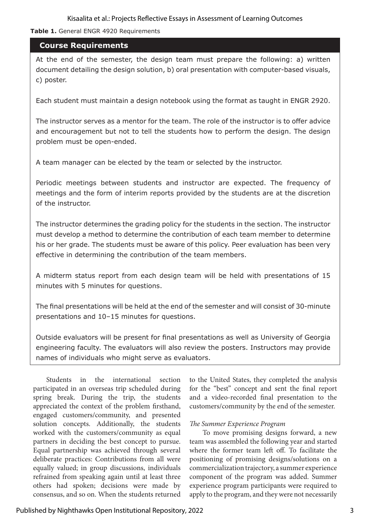**Table 1.** General ENGR 4920 Requirements

## **Course Requirements**

At the end of the semester, the design team must prepare the following: a) written document detailing the design solution, b) oral presentation with computer-based visuals, c) poster.

Each student must maintain a design notebook using the format as taught in ENGR 2920.

The instructor serves as a mentor for the team. The role of the instructor is to offer advice and encouragement but not to tell the students how to perform the design. The design problem must be open-ended.

A team manager can be elected by the team or selected by the instructor.

Periodic meetings between students and instructor are expected. The frequency of meetings and the form of interim reports provided by the students are at the discretion of the instructor.

The instructor determines the grading policy for the students in the section. The instructor must develop a method to determine the contribution of each team member to determine his or her grade. The students must be aware of this policy. Peer evaluation has been very effective in determining the contribution of the team members.

A midterm status report from each design team will be held with presentations of 15 minutes with 5 minutes for questions.

The final presentations will be held at the end of the semester and will consist of 30-minute presentations and 10–15 minutes for questions.

Outside evaluators will be present for final presentations as well as University of Georgia engineering faculty. The evaluators will also review the posters. Instructors may provide names of individuals who might serve as evaluators.

Students in the international section participated in an overseas trip scheduled during spring break. During the trip, the students appreciated the context of the problem firsthand, engaged customers/community, and presented solution concepts. Additionally, the students worked with the customers/community as equal partners in deciding the best concept to pursue. Equal partnership was achieved through several deliberate practices: Contributions from all were equally valued; in group discussions, individuals refrained from speaking again until at least three others had spoken; decisions were made by consensus, and so on. When the students returned

to the United States, they completed the analysis for the "best" concept and sent the final report and a video-recorded final presentation to the customers/community by the end of the semester.

#### *The Summer Experience Program*

To move promising designs forward, a new team was assembled the following year and started where the former team left off. To facilitate the positioning of promising designs/solutions on a commercialization trajectory, a summer experience component of the program was added. Summer experience program participants were required to apply to the program, and they were not necessarily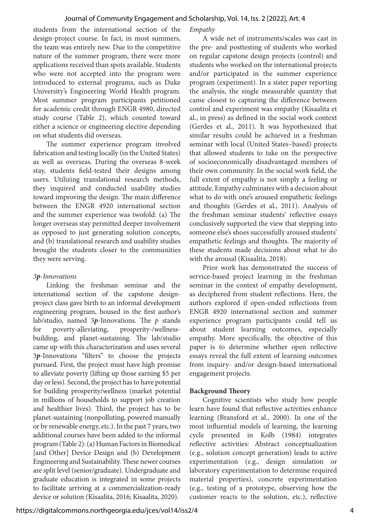students from the international section of the design-project course. In fact, in most summers, the team was entirely new. Due to the competitive nature of the summer program, there were more applications received than spots available. Students who were not accepted into the program were introduced to external programs, such as Duke University's Engineering World Health program. Most summer program participants petitioned for academic credit through ENGR 4980, directed study course (Table 2), which counted toward either a science or engineering elective depending on what students did overseas.

The summer experience program involved fabrication and testing locally (in the United States) as well as overseas. During the overseas 8-week stay, students field-tested their designs among users. Utilizing translational research methods, they inquired and conducted usability studies toward improving the design. The main difference between the ENGR 4920 international section and the summer experience was twofold: (a) The longer overseas stay permitted deeper involvement as opposed to just generating solution concepts, and (b) translational research and usability studies brought the students closer to the communities they were serving.

## *3p-Innovations*

Linking the freshman seminar and the international section of the capstone designproject class gave birth to an informal development engineering program, housed in the first author's lab/studio, named 3*p*-Innovations. The *p* stands for poverty-alleviating, prosperity-/wellnessbuilding, and planet-sustaining. The lab/studio came up with this characterization and uses several 3*p*-Innovations "filters" to choose the projects pursued. First, the project must have high promise to alleviate poverty (lifting up those earning \$5 per day or less). Second, the project has to have potential for building prosperity/wellness (market potential in millions of households to support job creation and healthier lives). Third, the project has to be planet-sustaining (nonpolluting, powered manually or by renewable energy, etc.). In the past 7 years, two additional courses have been added to the informal program (Table 2): (a) Human Factors in Biomedical [and Other] Device Design and (b) Development Engineering and Sustainability. These newer courses are split level (senior/graduate). Undergraduate and graduate education is integrated in some projects to facilitate arriving at a commercialization-ready device or solution (Kisaalita, 2016; Kisaalita, 2020).

#### *Empathy*

A wide net of instruments/scales was cast in the pre- and posttesting of students who worked on regular capstone design projects (control) and students who worked on the international projects and/or participated in the summer experience program (experiment). In a sister paper reporting the analysis, the single measurable quantity that came closest to capturing the difference between control and experiment was empathy (Kisaalita et al., in press) as defined in the social work context (Gerdes et al., 2011). It was hypothesized that similar results could be achieved in a freshman seminar with local (United States–based) projects that allowed students to take on the perspective of socioeconomically disadvantaged members of their own community. In the social work field, the full extent of empathy is not simply a feeling or attitude. Empathy culminates with a decision about what to do with one's aroused empathetic feelings and thoughts (Gerdes et al., 2011). Analysis of the freshman seminar students' reflective essays conclusively supported the view that stepping into someone else's shoes successfully aroused students' empathetic feelings and thoughts. The majority of these students made decisions about what to do with the arousal (Kisaalita, 2018).

Prior work has demonstrated the success of service-based project learning in the freshman seminar in the context of empathy development, as deciphered from student reflections. Here, the authors explored if open-ended reflections from ENGR 4920 international section and summer experience program participants could tell us about student learning outcomes, especially empathy. More specifically, the objective of this paper is to determine whether open reflective essays reveal the full extent of learning outcomes from inquiry- and/or design-based international engagement projects.

## **Background Theory**

Cognitive scientists who study how people learn have found that reflective activities enhance learning (Bransford et al., 2000). In one of the most influential models of learning, the learning cycle presented in Kolb (1984) integrates reflective activities: Abstract conceptualization (e.g., solution concept generation) leads to active experimentation (e.g., design simulation or laboratory experimentation to determine required material properties), concrete experimentation (e.g., testing of a prototype, observing how the customer reacts to the solution, etc.), reflective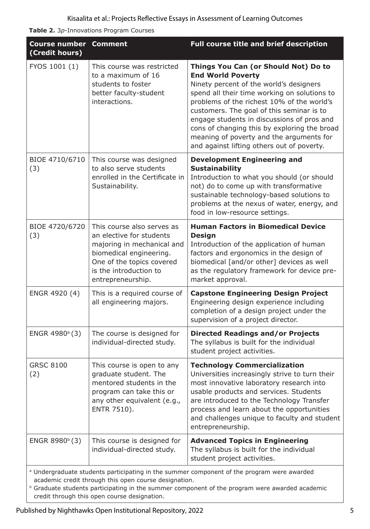**Table 2.** 3*p*-Innovations Program Courses

| <b>Course number Comment</b><br>(Credit hours)                                                                                                                 |                                                                                                                                                                                             | Full course title and brief description                                                                                                                                                                                                                                                                                                                                                                                                        |
|----------------------------------------------------------------------------------------------------------------------------------------------------------------|---------------------------------------------------------------------------------------------------------------------------------------------------------------------------------------------|------------------------------------------------------------------------------------------------------------------------------------------------------------------------------------------------------------------------------------------------------------------------------------------------------------------------------------------------------------------------------------------------------------------------------------------------|
| FYOS 1001 (1)                                                                                                                                                  | This course was restricted<br>to a maximum of 16<br>students to foster<br>better faculty-student<br>interactions.                                                                           | Things You Can (or Should Not) Do to<br><b>End World Poverty</b><br>Ninety percent of the world's designers<br>spend all their time working on solutions to<br>problems of the richest 10% of the world's<br>customers. The goal of this seminar is to<br>engage students in discussions of pros and<br>cons of changing this by exploring the broad<br>meaning of poverty and the arguments for<br>and against lifting others out of poverty. |
| BIOE 4710/6710<br>(3)                                                                                                                                          | This course was designed<br>to also serve students<br>enrolled in the Certificate in<br>Sustainability.                                                                                     | <b>Development Engineering and</b><br><b>Sustainability</b><br>Introduction to what you should (or should<br>not) do to come up with transformative<br>sustainable technology-based solutions to<br>problems at the nexus of water, energy, and<br>food in low-resource settings.                                                                                                                                                              |
| BIOE 4720/6720<br>(3)                                                                                                                                          | This course also serves as<br>an elective for students<br>majoring in mechanical and<br>biomedical engineering.<br>One of the topics covered<br>is the introduction to<br>entrepreneurship. | <b>Human Factors in Biomedical Device</b><br><b>Design</b><br>Introduction of the application of human<br>factors and ergonomics in the design of<br>biomedical [and/or other] devices as well<br>as the regulatory framework for device pre-<br>market approval.                                                                                                                                                                              |
| ENGR 4920 (4)                                                                                                                                                  | This is a required course of<br>all engineering majors.                                                                                                                                     | <b>Capstone Engineering Design Project</b><br>Engineering design experience including<br>completion of a design project under the<br>supervision of a project director.                                                                                                                                                                                                                                                                        |
| ENGR 4980 <sup>a</sup> (3)                                                                                                                                     | The course is designed for<br>individual-directed study.                                                                                                                                    | <b>Directed Readings and/or Projects</b><br>The syllabus is built for the individual<br>student project activities.                                                                                                                                                                                                                                                                                                                            |
| <b>GRSC 8100</b><br>(2)                                                                                                                                        | This course is open to any<br>graduate student. The<br>mentored students in the<br>program can take this or<br>any other equivalent (e.g.,<br>ENTR 7510).                                   | <b>Technology Commercialization</b><br>Universities increasingly strive to turn their<br>most innovative laboratory research into<br>usable products and services. Students<br>are introduced to the Technology Transfer<br>process and learn about the opportunities<br>and challenges unique to faculty and student<br>entrepreneurship.                                                                                                     |
| ENGR 8980 <sup>b</sup> (3)                                                                                                                                     | This course is designed for<br>individual-directed study.                                                                                                                                   | <b>Advanced Topics in Engineering</b><br>The syllabus is built for the individual<br>student project activities.                                                                                                                                                                                                                                                                                                                               |
| <sup>a</sup> Undergraduate students participating in the summer component of the program were awarded<br>academic credit through this open course designation. |                                                                                                                                                                                             |                                                                                                                                                                                                                                                                                                                                                                                                                                                |

**b** Graduate students participating in the summer component of the program were awarded academic credit through this open course designation.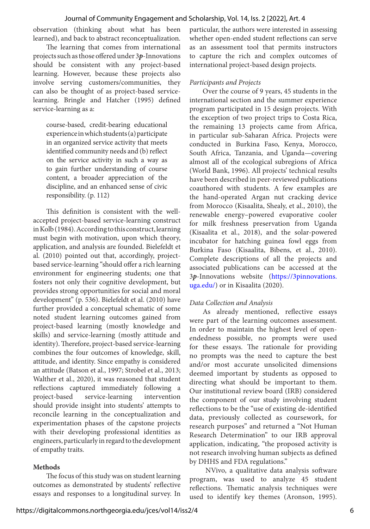#### Journal of Community Engagement and Scholarship, Vol. 14, Iss. 2 [2022], Art. 4

observation (thinking about what has been learned), and back to abstract reconceptualization.

The learning that comes from international projects such as those offered under 3*p*-Innovations should be consistent with any project-based learning. However, because these projects also involve serving customers/communities, they can also be thought of as project-based servicelearning. Bringle and Hatcher (1995) defined service-learning as a:

course-based, credit-bearing educational experience in which students (a) participate in an organized service activity that meets identified community needs and (b) reflect on the service activity in such a way as to gain further understanding of course content, a broader appreciation of the discipline, and an enhanced sense of civic responsibility. (p. 112)

This definition is consistent with the wellaccepted project-based service-learning construct in Kolb (1984). According to this construct, learning must begin with motivation, upon which theory, application, and analysis are founded. Bielefeldt et al. (2010) pointed out that, accordingly, projectbased service-learning "should offer a rich learning environment for engineering students; one that fosters not only their cognitive development, but provides strong opportunities for social and moral development" (p. 536). Bielefeldt et al. (2010) have further provided a conceptual schematic of some noted student learning outcomes gained from project-based learning (mostly knowledge and skills) and service-learning (mostly attitude and identity). Therefore, project-based service-learning combines the four outcomes of knowledge, skill, attitude, and identity. Since empathy is considered an attitude (Batson et al., 1997; Strobel et al., 2013; Walther et al., 2020), it was reasoned that student reflections captured immediately following a project-based service-learning intervention should provide insight into students' attempts to reconcile learning in the conceptualization and experimentation phases of the capstone projects with their developing professional identities as engineers, particularly in regard to the development of empathy traits.

#### **Methods**

The focus of this study was on student learning outcomes as demonstrated by students' reflective essays and responses to a longitudinal survey. In particular, the authors were interested in assessing whether open-ended student reflections can serve as an assessment tool that permits instructors to capture the rich and complex outcomes of international project-based design projects.

#### *Participants and Projects*

Over the course of 9 years, 45 students in the international section and the summer experience program participated in 15 design projects. With the exception of two project trips to Costa Rica, the remaining 13 projects came from Africa, in particular sub-Saharan Africa. Projects were conducted in Burkina Faso, Kenya, Morocco, South Africa, Tanzania, and Uganda—covering almost all of the ecological subregions of Africa (World Bank, 1996). All projects' technical results have been described in peer-reviewed publications coauthored with students. A few examples are the hand-operated Argan nut cracking device from Morocco (Kisaalita, Shealy, et al., 2010), the renewable energy–powered evaporative cooler for milk freshness preservation from Uganda (Kisaalita et al., 2018), and the solar-powered incubator for hatching guinea fowl eggs from Burkina Faso (Kisaalita, Bibens, et al., 2010). Complete descriptions of all the projects and associated publications can be accessed at the 3*p*-Innovations website ([https://3pinnovations.](https://3pinnovations.uga.edu/) [uga.edu/](https://3pinnovations.uga.edu/)) or in Kisaalita (2020).

#### *Data Collection and Analysis*

As already mentioned, reflective essays were part of the learning outcomes assessment. In order to maintain the highest level of openendedness possible, no prompts were used for these essays. The rationale for providing no prompts was the need to capture the best and/or most accurate unsolicited dimensions deemed important by students as opposed to directing what should be important to them. Our institutional review board (IRB) considered the component of our study involving student reflections to be the "use of existing de-identified data, previously collected as coursework, for research purposes" and returned a "Not Human Research Determination" to our IRB approval application, indicating, "the proposed activity is not research involving human subjects as defined by DHHS and FDA regulations."

 NVivo, a qualitative data analysis software program, was used to analyze 45 student reflections. Thematic analysis techniques were used to identify key themes (Aronson, 1995).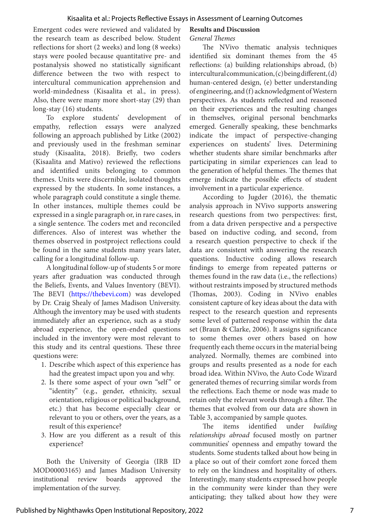Emergent codes were reviewed and validated by the research team as described below. Student reflections for short (2 weeks) and long (8 weeks) stays were pooled because quantitative pre- and postanalysis showed no statistically significant difference between the two with respect to intercultural communication apprehension and world-mindedness (Kisaalita et al., in press). Also, there were many more short-stay (29) than long-stay (16) students.

To explore students' development of empathy, reflection essays were analyzed following an approach published by Litke (2002) and previously used in the freshman seminar study (Kisaalita, 2018). Briefly, two coders (Kisaalita and Mativo) reviewed the reflections and identified units belonging to common themes. Units were discernible, isolated thoughts expressed by the students. In some instances, a whole paragraph could constitute a single theme. In other instances, multiple themes could be expressed in a single paragraph or, in rare cases, in a single sentence. The coders met and reconciled differences. Also of interest was whether the themes observed in postproject reflections could be found in the same students many years later, calling for a longitudinal follow-up.

A longitudinal follow-up of students 5 or more years after graduation was conducted through the Beliefs, Events, and Values Inventory (BEVI). The BEVI [\(https://thebevi.com](https://thebevi.com)) was developed by Dr. Craig Shealy of James Madison University. Although the inventory may be used with students immediately after an experience, such as a study abroad experience, the open-ended questions included in the inventory were most relevant to this study and its central questions. These three questions were:

- 1. Describe which aspect of this experience has had the greatest impact upon you and why.
- 2. Is there some aspect of your own "self" or "identity" (e.g., gender, ethnicity, sexual orientation, religious or political background, etc.) that has become especially clear or relevant to you or others, over the years, as a result of this experience?
- 3. How are you different as a result of this experience?

Both the University of Georgia (IRB ID MOD00003165) and James Madison University institutional review boards approved the implementation of the survey.

#### **Results and Discussion**

#### *General Themes*

The NVivo thematic analysis techniques identified six dominant themes from the 45 reflections: (a) building relationships abroad, (b) intercultural communication, (c) being different, (d) human-centered design, (e) better understanding of engineering, and (f) acknowledgment of Western perspectives. As students reflected and reasoned on their experiences and the resulting changes in themselves, original personal benchmarks emerged. Generally speaking, these benchmarks indicate the impact of perspective-changing experiences on students' lives. Determining whether students share similar benchmarks after participating in similar experiences can lead to the generation of helpful themes. The themes that emerge indicate the possible effects of student involvement in a particular experience.

According to Jugder (2016), the thematic analysis approach in NVivo supports answering research questions from two perspectives: first, from a data driven perspective and a perspective based on inductive coding, and second, from a research question perspective to check if the data are consistent with answering the research questions. Inductive coding allows research findings to emerge from repeated patterns or themes found in the raw data (i.e., the reflections) without restraints imposed by structured methods (Thomas, 2003). Coding in NVivo enables consistent capture of key ideas about the data with respect to the research question and represents some level of patterned response within the data set (Braun & Clarke, 2006). It assigns significance to some themes over others based on how frequently each theme occurs in the material being analyzed. Normally, themes are combined into groups and results presented as a node for each broad idea. Within NVivo, the Auto Code Wizard generated themes of recurring similar words from the reflections. Each theme or node was made to retain only the relevant words through a filter. The themes that evolved from our data are shown in Table 3, accompanied by sample quotes.

The items identified under *building relationships abroad* focused mostly on partner communities' openness and empathy toward the students. Some students talked about how being in a place so out of their comfort zone forced them to rely on the kindness and hospitality of others. Interestingly, many students expressed how people in the community were kinder than they were anticipating; they talked about how they were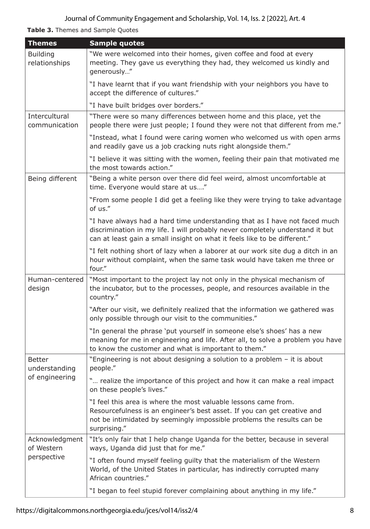**Table 3.** Themes and Sample Quotes

| <b>Themes</b>                               | <b>Sample quotes</b>                                                                                                                                                                                                                     |  |
|---------------------------------------------|------------------------------------------------------------------------------------------------------------------------------------------------------------------------------------------------------------------------------------------|--|
| <b>Building</b><br>relationships            | "We were welcomed into their homes, given coffee and food at every<br>meeting. They gave us everything they had, they welcomed us kindly and<br>generously"                                                                              |  |
|                                             | "I have learnt that if you want friendship with your neighbors you have to<br>accept the difference of cultures."                                                                                                                        |  |
|                                             | "I have built bridges over borders."                                                                                                                                                                                                     |  |
| Intercultural<br>communication              | "There were so many differences between home and this place, yet the<br>people there were just people; I found they were not that different from me."                                                                                    |  |
|                                             | "Instead, what I found were caring women who welcomed us with open arms<br>and readily gave us a job cracking nuts right alongside them."                                                                                                |  |
|                                             | "I believe it was sitting with the women, feeling their pain that motivated me<br>the most towards action."                                                                                                                              |  |
| Being different                             | "Being a white person over there did feel weird, almost uncomfortable at<br>time. Everyone would stare at us"                                                                                                                            |  |
|                                             | "From some people I did get a feeling like they were trying to take advantage<br>of us."                                                                                                                                                 |  |
|                                             | "I have always had a hard time understanding that as I have not faced much<br>discrimination in my life. I will probably never completely understand it but<br>can at least gain a small insight on what it feels like to be different." |  |
|                                             | "I felt nothing short of lazy when a laborer at our work site dug a ditch in an<br>hour without complaint, when the same task would have taken me three or<br>four."                                                                     |  |
| Human-centered<br>design                    | "Most important to the project lay not only in the physical mechanism of<br>the incubator, but to the processes, people, and resources available in the<br>country."                                                                     |  |
|                                             | "After our visit, we definitely realized that the information we gathered was<br>only possible through our visit to the communities."                                                                                                    |  |
|                                             | "In general the phrase 'put yourself in someone else's shoes' has a new<br>meaning for me in engineering and life. After all, to solve a problem you have<br>to know the customer and what is important to them."                        |  |
| Better<br>understanding<br>of engineering   | "Engineering is not about designing a solution to a problem - it is about<br>people."                                                                                                                                                    |  |
|                                             | " realize the importance of this project and how it can make a real impact<br>on these people's lives."                                                                                                                                  |  |
|                                             | "I feel this area is where the most valuable lessons came from.<br>Resourcefulness is an engineer's best asset. If you can get creative and<br>not be intimidated by seemingly impossible problems the results can be<br>surprising."    |  |
| Acknowledgment<br>of Western<br>perspective | "It's only fair that I help change Uganda for the better, because in several<br>ways, Uganda did just that for me."                                                                                                                      |  |
|                                             | "I often found myself feeling guilty that the materialism of the Western<br>World, of the United States in particular, has indirectly corrupted many<br>African countries."                                                              |  |
|                                             | "I began to feel stupid forever complaining about anything in my life."                                                                                                                                                                  |  |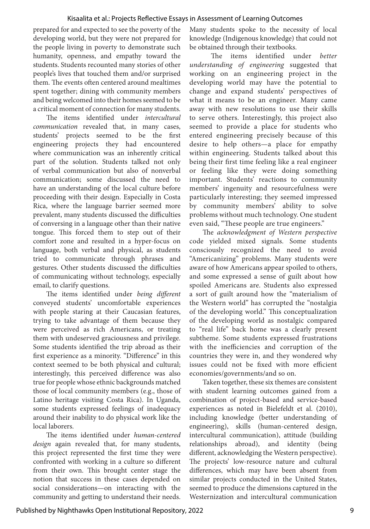prepared for and expected to see the poverty of the developing world, but they were not prepared for the people living in poverty to demonstrate such humanity, openness, and empathy toward the students. Students recounted many stories of other people's lives that touched them and/or surprised them. The events often centered around mealtimes spent together; dining with community members and being welcomed into their homes seemed to be a critical moment of connection for many students.

The items identified under *intercultural communication* revealed that, in many cases, students' projects seemed to be the first engineering projects they had encountered where communication was an inherently critical part of the solution. Students talked not only of verbal communication but also of nonverbal communication; some discussed the need to have an understanding of the local culture before proceeding with their design. Especially in Costa Rica, where the language barrier seemed more prevalent, many students discussed the difficulties of conversing in a language other than their native tongue. This forced them to step out of their comfort zone and resulted in a hyper-focus on language, both verbal and physical, as students tried to communicate through phrases and gestures. Other students discussed the difficulties of communicating without technology, especially email, to clarify questions.

The items identified under *being different* conveyed students' uncomfortable experiences with people staring at their Caucasian features, trying to take advantage of them because they were perceived as rich Americans, or treating them with undeserved graciousness and privilege. Some students identified the trip abroad as their first experience as a minority. "Difference" in this context seemed to be both physical and cultural; interestingly, this perceived difference was also true for people whose ethnic backgrounds matched those of local community members (e.g., those of Latino heritage visiting Costa Rica). In Uganda, some students expressed feelings of inadequacy around their inability to do physical work like the local laborers.

The items identified under *human-centered design* again revealed that, for many students, this project represented the first time they were confronted with working in a culture so different from their own. This brought center stage the notion that success in these cases depended on social considerations—on interacting with the community and getting to understand their needs.

Many students spoke to the necessity of local knowledge (Indigenous knowledge) that could not be obtained through their textbooks.

 The items identified under *better understanding of engineering* suggested that working on an engineering project in the developing world may have the potential to change and expand students' perspectives of what it means to be an engineer. Many came away with new resolutions to use their skills to serve others. Interestingly, this project also seemed to provide a place for students who entered engineering precisely because of this desire to help others—a place for empathy within engineering. Students talked about this being their first time feeling like a real engineer or feeling like they were doing something important. Students' reactions to community members' ingenuity and resourcefulness were particularly interesting; they seemed impressed by community members' ability to solve problems without much technology. One student even said, "These people are true engineers."

The *acknowledgment of Western perspective* code yielded mixed signals. Some students consciously recognized the need to avoid "Americanizing" problems. Many students were aware of how Americans appear spoiled to others, and some expressed a sense of guilt about how spoiled Americans are. Students also expressed a sort of guilt around how the "materialism of the Western world" has corrupted the "nostalgia of the developing world." This conceptualization of the developing world as nostalgic compared to "real life" back home was a clearly present subtheme. Some students expressed frustrations with the inefficiencies and corruption of the countries they were in, and they wondered why issues could not be fixed with more efficient economies/governments/and so on.

Taken together, these six themes are consistent with student learning outcomes gained from a combination of project-based and service-based experiences as noted in Bielefeldt et al. (2010), including knowledge (better understanding of engineering), skills (human-centered design, intercultural communication), attitude (building relationships abroad), and identity (being different, acknowledging the Western perspective). The projects' low-resource nature and cultural differences, which may have been absent from similar projects conducted in the United States, seemed to produce the dimensions captured in the Westernization and intercultural communication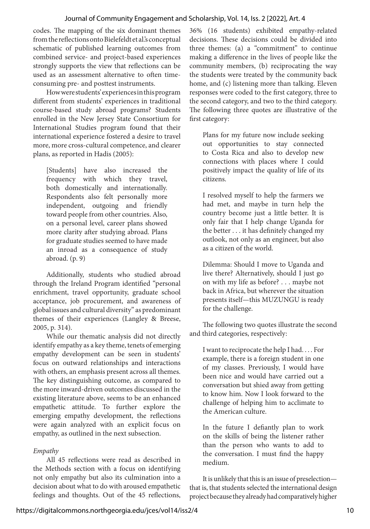#### Journal of Community Engagement and Scholarship, Vol. 14, Iss. 2 [2022], Art. 4

codes. The mapping of the six dominant themes from the reflections onto Bielefeldt et al.'s conceptual schematic of published learning outcomes from combined service- and project-based experiences strongly supports the view that reflections can be used as an assessment alternative to often timeconsuming pre- and posttest instruments.

How were students' experiences in this program different from students' experiences in traditional course-based study abroad programs? Students enrolled in the New Jersey State Consortium for International Studies program found that their international experience fostered a desire to travel more, more cross-cultural competence, and clearer plans, as reported in Hadis (2005):

[Students] have also increased the frequency with which they travel, both domestically and internationally. Respondents also felt personally more independent, outgoing and friendly toward people from other countries. Also, on a personal level, career plans showed more clarity after studying abroad. Plans for graduate studies seemed to have made an inroad as a consequence of study abroad. (p. 9)

Additionally, students who studied abroad through the Ireland Program identified "personal enrichment, travel opportunity, graduate school acceptance, job procurement, and awareness of global issues and cultural diversity" as predominant themes of their experiences (Langley & Breese, 2005, p. 314).

While our thematic analysis did not directly identify empathy as a key theme, tenets of emerging empathy development can be seen in students' focus on outward relationships and interactions with others, an emphasis present across all themes. The key distinguishing outcome, as compared to the more inward-driven outcomes discussed in the existing literature above, seems to be an enhanced empathetic attitude. To further explore the emerging empathy development, the reflections were again analyzed with an explicit focus on empathy, as outlined in the next subsection.

#### *Empathy*

All 45 reflections were read as described in the Methods section with a focus on identifying not only empathy but also its culmination into a decision about what to do with aroused empathetic feelings and thoughts. Out of the 45 reflections,

36% (16 students) exhibited empathy-related decisions. These decisions could be divided into three themes: (a) a "commitment" to continue making a difference in the lives of people like the community members, (b) reciprocating the way the students were treated by the community back home, and (c) listening more than talking. Eleven responses were coded to the first category, three to the second category, and two to the third category. The following three quotes are illustrative of the first category:

Plans for my future now include seeking out opportunities to stay connected to Costa Rica and also to develop new connections with places where I could positively impact the quality of life of its citizens.

I resolved myself to help the farmers we had met, and maybe in turn help the country become just a little better. It is only fair that I help change Uganda for the better . . . it has definitely changed my outlook, not only as an engineer, but also as a citizen of the world.

Dilemma: Should I move to Uganda and live there? Alternatively, should I just go on with my life as before? . . . maybe not back in Africa, but wherever the situation presents itself—this MUZUNGU is ready for the challenge.

The following two quotes illustrate the second and third categories, respectively:

I want to reciprocate the help I had. . . . For example, there is a foreign student in one of my classes. Previously, I would have been nice and would have carried out a conversation but shied away from getting to know him. Now I look forward to the challenge of helping him to acclimate to the American culture.

In the future I defiantly plan to work on the skills of being the listener rather than the person who wants to add to the conversation. I must find the happy medium.

It is unlikely that this is an issue of preselection that is, that students selected the international design project because they already had comparatively higher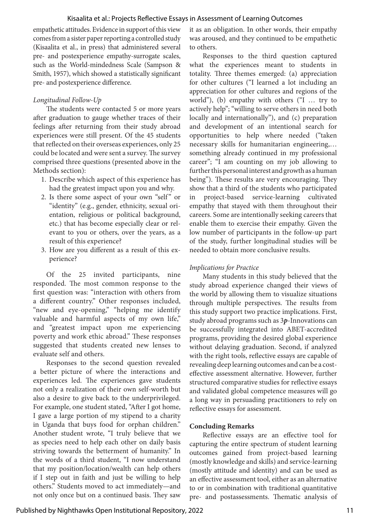empathetic attitudes. Evidence in support of this view comes from a sister paper reporting a controlled study (Kisaalita et al., in press) that administered several pre- and postexperience empathy-surrogate scales, such as the World-mindedness Scale (Sampson & Smith, 1957), which showed a statistically significant pre- and postexperience difference.

#### *Longitudinal Follow-Up*

The students were contacted 5 or more years after graduation to gauge whether traces of their feelings after returning from their study abroad experiences were still present. Of the 45 students that reflected on their overseas experiences, only 25 could be located and were sent a survey. The survey comprised three questions (presented above in the Methods section):

- 1. Describe which aspect of this experience has had the greatest impact upon you and why.
- 2. Is there some aspect of your own "self" or "identity" (e.g., gender, ethnicity, sexual orientation, religious or political background, etc.) that has become especially clear or relevant to you or others, over the years, as a result of this experience?
- 3. How are you different as a result of this experience?

Of the 25 invited participants, nine responded. The most common response to the first question was: "interaction with others from a different country." Other responses included, "new and eye-opening," "helping me identify valuable and harmful aspects of my own life," and "greatest impact upon me experiencing poverty and work ethic abroad." These responses suggested that students created new lenses to evaluate self and others.

Responses to the second question revealed a better picture of where the interactions and experiences led. The experiences gave students not only a realization of their own self-worth but also a desire to give back to the underprivileged. For example, one student stated, "After I got home, I gave a large portion of my stipend to a charity in Uganda that buys food for orphan children." Another student wrote, "I truly believe that we as species need to help each other on daily basis striving towards the betterment of humanity." In the words of a third student, "I now understand that my position/location/wealth can help others if I step out in faith and just be willing to help others." Students moved to act immediately—and not only once but on a continued basis. They saw

it as an obligation. In other words, their empathy was aroused, and they continued to be empathetic to others.

Responses to the third question captured what the experiences meant to students in totality. Three themes emerged: (a) appreciation for other cultures ("I learned a lot including an appreciation for other cultures and regions of the world"), (b) empathy with others ("I … try to actively help"; "willing to serve others in need both locally and internationally"), and (c) preparation and development of an intentional search for opportunities to help where needed ("taken necessary skills for humanitarian engineering,… something already continued in my professional career"; "I am counting on my job allowing to further this personal interest and growth as a human being"). These results are very encouraging. They show that a third of the students who participated in project-based service-learning cultivated empathy that stayed with them throughout their careers. Some are intentionally seeking careers that enable them to exercise their empathy. Given the low number of participants in the follow-up part of the study, further longitudinal studies will be needed to obtain more conclusive results.

#### *Implications for Practice*

Many students in this study believed that the study abroad experience changed their views of the world by allowing them to visualize situations through multiple perspectives. The results from this study support two practice implications. First, study abroad programs such as 3*p*-Innovations can be successfully integrated into ABET-accredited programs, providing the desired global experience without delaying graduation. Second, if analyzed with the right tools, reflective essays are capable of revealing deep learning outcomes and can be a costeffective assessment alternative. However, further structured comparative studies for reflective essays and validated global competence measures will go a long way in persuading practitioners to rely on reflective essays for assessment.

#### **Concluding Remarks**

Reflective essays are an effective tool for capturing the entire spectrum of student learning outcomes gained from project-based learning (mostly knowledge and skills) and service-learning (mostly attitude and identity) and can be used as an effective assessment tool, either as an alternative to or in combination with traditional quantitative pre- and postassessments. Thematic analysis of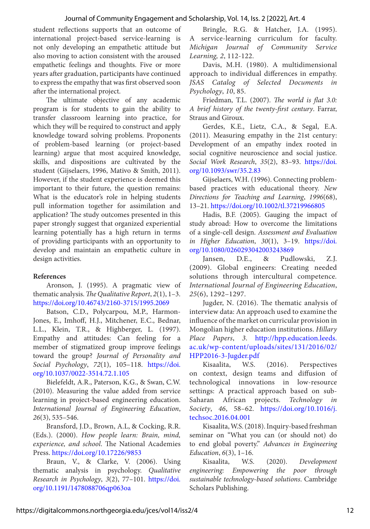#### Journal of Community Engagement and Scholarship, Vol. 14, Iss. 2 [2022], Art. 4

student reflections supports that an outcome of international project-based service-learning is not only developing an empathetic attitude but also moving to action consistent with the aroused empathetic feelings and thoughts. Five or more years after graduation, participants have continued to express the empathy that was first observed soon after the international project.

The ultimate objective of any academic program is for students to gain the ability to transfer classroom learning into practice, for which they will be required to construct and apply knowledge toward solving problems. Proponents of problem-based learning (or project-based learning) argue that most acquired knowledge, skills, and dispositions are cultivated by the student (Gijselaers, 1996, Mativo & Smith, 2011). However, if the student experience is deemed this important to their future, the question remains: What is the educator's role in helping students pull information together for assimilation and application? The study outcomes presented in this paper strongly suggest that organized experiential learning potentially has a high return in terms of providing participants with an opportunity to develop and maintain an empathetic culture in design activities.

#### **References**

Aronson, J. (1995). A pragmatic view of thematic analysis. *The Qualitative Report*, *2*(1), 1–3. [https://doi.org/10.46743/2160-3715/1995.2069](https://doi.org/10.46743/2160-3715/1995.2069 )

Batson, C.D., Polycarpou, M.P., Harmon-Jones, E., Imhoff, H.J., Mitchener, E.C., Bednar, L.L., Klein, T.R., & Highberger, L. (1997). Empathy and attitudes: Can feeling for a member of stigmatized group improve feelings toward the group? *Journal of Personality and Social Psychology*, *72*(1), 105–118. [https://doi.](https://doi.org/10.1037/0022-3514.72.1.105 ) [org/10.1037/0022-3514.72.1.105](https://doi.org/10.1037/0022-3514.72.1.105 )

Bielefeldt, A.R., Paterson, K.G., & Swan, C.W. (2010). Measuring the value added from service learning in project-based engineering education. *International Journal of Engineering Education*, *26*(3), 535–546.

Bransford, J.D., Brown, A.L, & Cocking, R.R. (Eds.). (2000). *How people learn: Brain, mind, experience, and school*. The National Academies Press. [https://doi.org/10.17226/9853](https://doi.org/10.17226/9853 )

Braun, V., & Clarke, V. (2006). Using thematic analysis in psychology. *Qualitative Research in Psychology*, *3*(2), 77–101. [https://doi.](https://doi.org/10.1191/1478088706qp063oa ) [org/10.1191/1478088706qp063oa](https://doi.org/10.1191/1478088706qp063oa )

Bringle, R.G. & Hatcher, J.A. (1995). A service-learning curriculum for faculty. *Michigan Journal of Community Service Learning, 2*, 112-122.

Davis, M.H. (1980). A multidimensional approach to individual differences in empathy. *JSAS Catalog of Selected Documents in Psychology*, *10*, 85.

Friedman, T.L. (2007). *The world is flat 3.0: A brief history of the twenty-first century*. Farrar, Straus and Giroux.

Gerdes, K.E., Lietz, C.A., & Segal, E.A. (2011). Measuring empathy in the 21st century: Development of an empathy index rooted in social cognitive neuroscience and social justice. *Social Work Research*, *35*(2), 83–93. [https://doi.](https://doi.org/10.1093/swr/35.2.83 ) [org/10.1093/swr/35.2.83](https://doi.org/10.1093/swr/35.2.83 )

Gijselaers, W.H. (1996). Connecting problembased practices with educational theory. *New Directions for Teaching and Learning*, *1996*(68), 13–21. [https://doi.org/10.1002/tl.37219966805](https://doi.org/10.1002/tl.37219966805  ) 

Hadis, B.F. (2005). Gauging the impact of study abroad: How to overcome the limitations of a single-cell design. *Assessment and Evaluation in Higher Education*, *30*(1), 3–19. [https://doi.](https://doi.org/10.1080/0260293042003243869 ) [org/10.1080/0260293042003243869](https://doi.org/10.1080/0260293042003243869 )

Jansen, D.E., & Pudlowski, Z.J. (2009). Global engineers: Creating needed solutions through intercultural competence*. International Journal of Engineering Education*, *25*(6), 1292–1297.

Jugder, N. (2016). The thematic analysis of interview data: An approach used to examine the influence of the market on curricular provision in Mongolian higher education institutions. *Hillary Place Papers*, *3*. [http://hpp.education.leeds.](http://hpp.education.leeds.ac.uk/wp-content/uploads/sites/131/2016/02/HPP2016-3-Jugder.pdf ) [ac.uk/wp-content/uploads/sites/131/2016/02/](http://hpp.education.leeds.ac.uk/wp-content/uploads/sites/131/2016/02/HPP2016-3-Jugder.pdf ) [HPP2016-3-Jugder.pdf](http://hpp.education.leeds.ac.uk/wp-content/uploads/sites/131/2016/02/HPP2016-3-Jugder.pdf )

Kisaalita, W.S. (2016). Perspectives on context, design teams and diffusion of technological innovations in low-resource settings: A practical approach based on sub-Saharan African projects. *Technology in Society*, *46*, 58–62. [https://doi.org/10.1016/j.](https://doi.org/10.1016/j.techsoc.2016.04.001 ) [techsoc.2016.04.001](https://doi.org/10.1016/j.techsoc.2016.04.001 )

Kisaalita, W.S. (2018). Inquiry-based freshman seminar on "What you can (or should not) do to end global poverty." *Advances in Engineering Education*, *6*(3), 1–16.

Kisaalita, W.S. (2020). *Development engineering: Empowering the poor through sustainable technology-based solutions*. Cambridge Scholars Publishing.